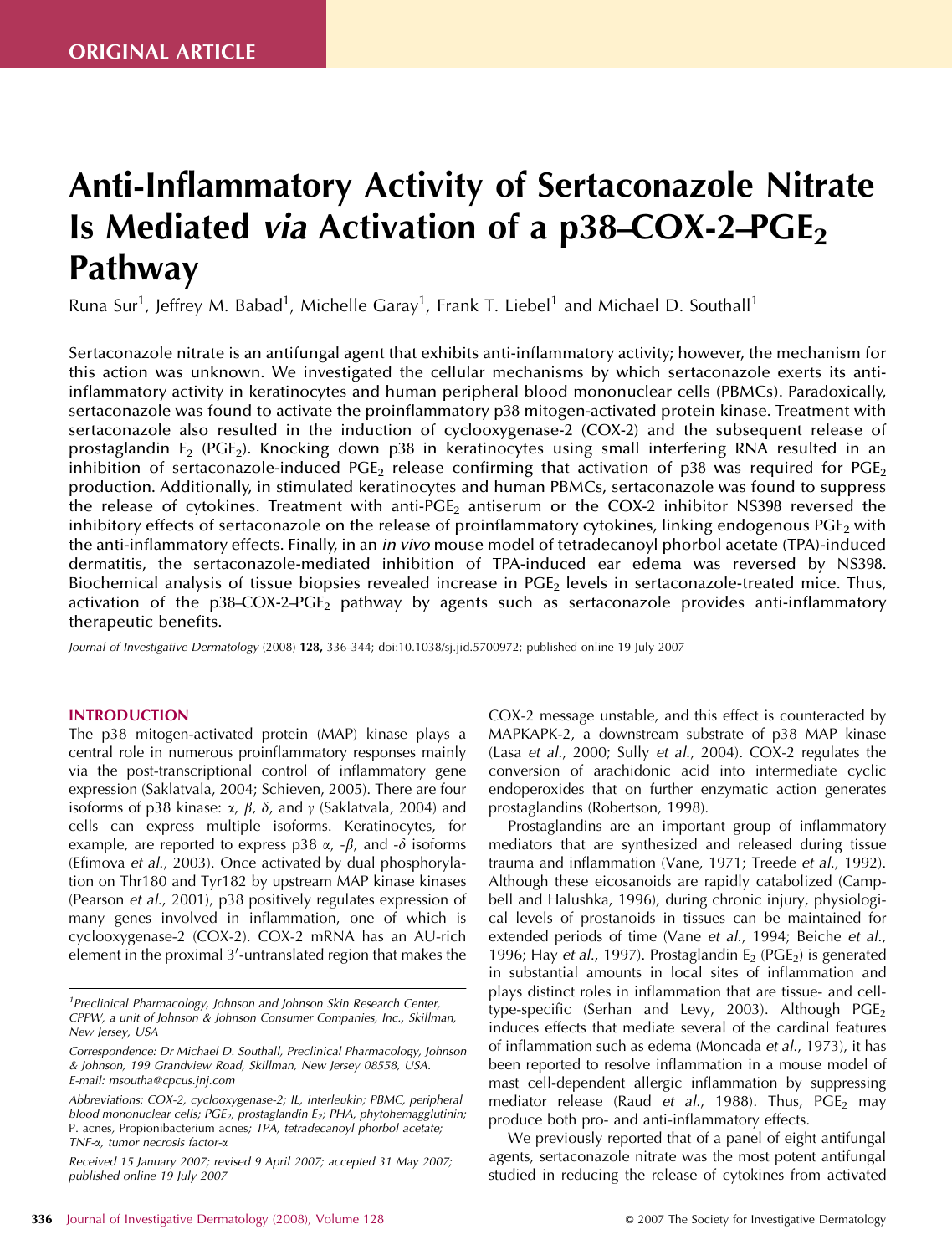# Anti-Inflammatory Activity of Sertaconazole Nitrate Is Mediated via Activation of a  $p38-COX-2-PCE<sub>2</sub>$ Pathway

Runa Sur<sup>1</sup>, Jeffrey M. Babad<sup>1</sup>, Michelle Garay<sup>1</sup>, Frank T. Liebel<sup>1</sup> and Michael D. Southall<sup>1</sup>

Sertaconazole nitrate is an antifungal agent that exhibits anti-inflammatory activity; however, the mechanism for this action was unknown. We investigated the cellular mechanisms by which sertaconazole exerts its antiinflammatory activity in keratinocytes and human peripheral blood mononuclear cells (PBMCs). Paradoxically, sertaconazole was found to activate the proinflammatory p38 mitogen-activated protein kinase. Treatment with sertaconazole also resulted in the induction of cyclooxygenase-2 (COX-2) and the subsequent release of prostaglandin  $E_2$  (PGE<sub>2</sub>). Knocking down p38 in keratinocytes using small interfering RNA resulted in an inhibition of sertaconazole-induced PGE<sub>2</sub> release confirming that activation of p38 was required for PGE<sub>2</sub> production. Additionally, in stimulated keratinocytes and human PBMCs, sertaconazole was found to suppress the release of cytokines. Treatment with anti-PGE<sub>2</sub> antiserum or the COX-2 inhibitor NS398 reversed the inhibitory effects of sertaconazole on the release of proinflammatory cytokines, linking endogenous  $PGE_2$  with the anti-inflammatory effects. Finally, in an *in vivo* mouse model of tetradecanoyl phorbol acetate (TPA)-induced dermatitis, the sertaconazole-mediated inhibition of TPA-induced ear edema was reversed by NS398. Biochemical analysis of tissue biopsies revealed increase in PGE<sub>2</sub> levels in sertaconazole-treated mice. Thus, activation of the p38-COX-2-PGE<sub>2</sub> pathway by agents such as sertaconazole provides anti-inflammatory therapeutic benefits.

*Journal of Investigative Dermatology* (2008) 128, 336–344; doi:10.1038/sj.jid.5700972; published online 19 July 2007

## INTRODUCTION

The p38 mitogen-activated protein (MAP) kinase plays a central role in numerous proinflammatory responses mainly via the post-transcriptional control of inflammatory gene expression (Saklatvala, 2004; Schieven, 2005). There are four isoforms of p38 kinase:  $\alpha$ ,  $\beta$ ,  $\delta$ , and  $\gamma$  (Saklatvala, 2004) and cells can express multiple isoforms. Keratinocytes, for example, are reported to express p38  $\alpha$ , - $\beta$ , and - $\delta$  isoforms (Efimova *et al*., 2003). Once activated by dual phosphorylation on Thr180 and Tyr182 by upstream MAP kinase kinases (Pearson *et al*., 2001), p38 positively regulates expression of many genes involved in inflammation, one of which is cyclooxygenase-2 (COX-2). COX-2 mRNA has an AU-rich  $\widetilde{\mathsf{element}}$  in the proximal 3′-untranslated region that makes the

COX-2 message unstable, and this effect is counteracted by MAPKAPK-2, a downstream substrate of p38 MAP kinase (Lasa *et al*., 2000; Sully *et al*., 2004). COX-2 regulates the conversion of arachidonic acid into intermediate cyclic endoperoxides that on further enzymatic action generates prostaglandins (Robertson, 1998).

Prostaglandins are an important group of inflammatory mediators that are synthesized and released during tissue trauma and inflammation (Vane, 1971; Treede *et al*., 1992). Although these eicosanoids are rapidly catabolized (Campbell and Halushka, 1996), during chronic injury, physiological levels of prostanoids in tissues can be maintained for extended periods of time (Vane *et al*., 1994; Beiche *et al*., 1996; Hay *et al.*, 1997). Prostaglandin E<sub>2</sub> (PGE<sub>2</sub>) is generated in substantial amounts in local sites of inflammation and plays distinct roles in inflammation that are tissue- and celltype-specific (Serhan and Levy, 2003). Although  $PGE_2$ induces effects that mediate several of the cardinal features of inflammation such as edema (Moncada *et al*., 1973), it has been reported to resolve inflammation in a mouse model of mast cell-dependent allergic inflammation by suppressing mediator release (Raud *et al.,* 1988). Thus, PGE<sub>2</sub> may produce both pro- and anti-inflammatory effects.

We previously reported that of a panel of eight antifungal agents, sertaconazole nitrate was the most potent antifungal studied in reducing the release of cytokines from activated

*<sup>1</sup> Preclinical Pharmacology, Johnson and Johnson Skin Research Center, CPPW, a unit of Johnson & Johnson Consumer Companies, Inc., Skillman, New Jersey, USA*

*Correspondence: Dr Michael D. Southall, Preclinical Pharmacology, Johnson & Johnson, 199 Grandview Road, Skillman, New Jersey 08558, USA. E-mail: msoutha@cpcus.jnj.com*

*Abbreviations: COX-2, cyclooxygenase-2; IL, interleukin; PBMC, peripheral blood mononuclear cells; PGE2, prostaglandin E2; PHA, phytohemagglutinin;* P. acnes*,* Propionibacterium acnes*; TPA, tetradecanoyl phorbol acetate; TNF-*a*, tumor necrosis factor-*a

*Received 15 January 2007; revised 9 April 2007; accepted 31 May 2007; published online 19 July 2007*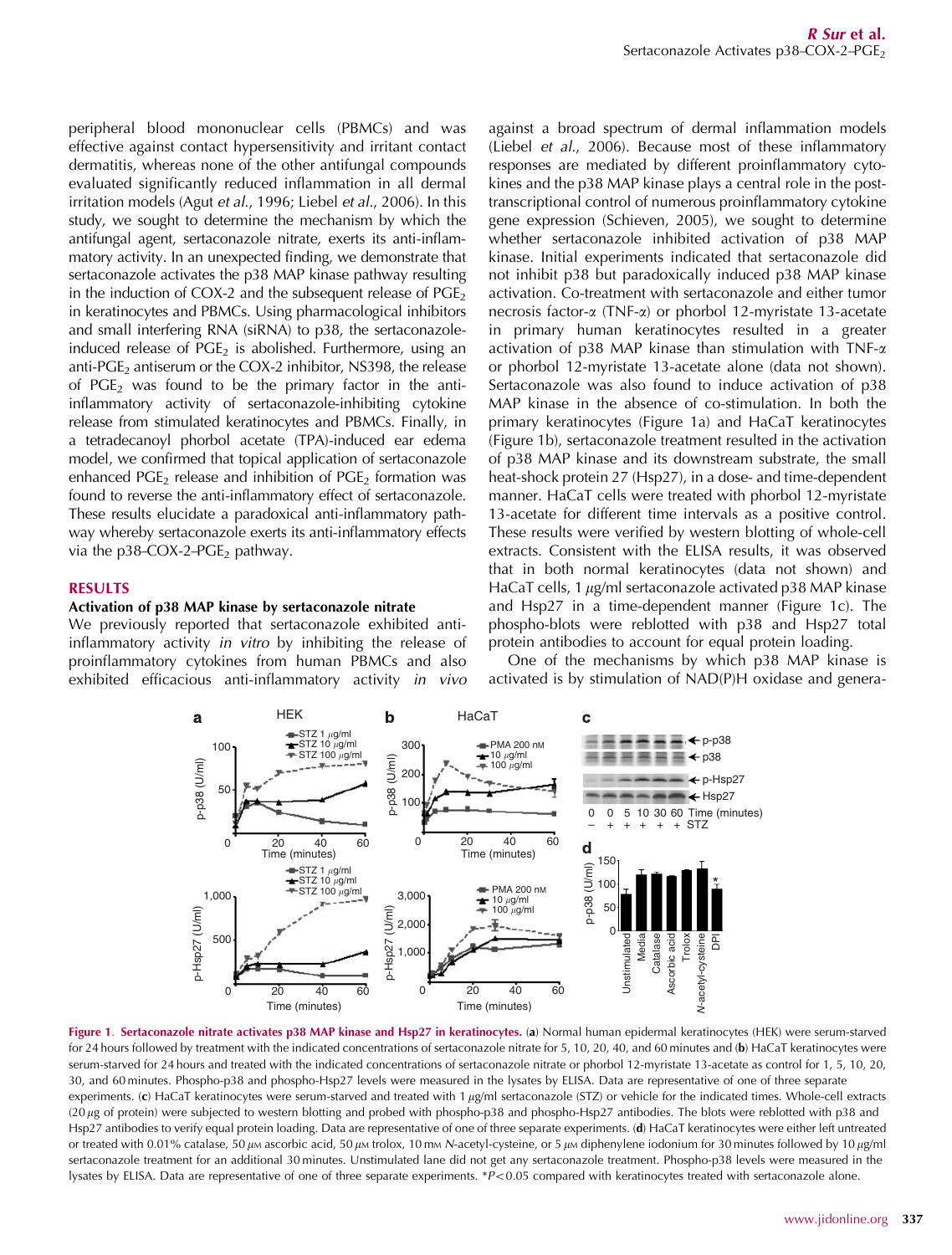peripheral blood mononuclear cells (PBMCs) and was effective against contact hypersensitivity and irritant contact dermatitis, whereas none of the other antifungal compounds evaluated significantly reduced inflammation in all dermal irritation models (Agut *et al*., 1996; Liebel *et al*., 2006). In this study, we sought to determine the mechanism by which the antifungal agent, sertaconazole nitrate, exerts its anti-inflammatory activity. In an unexpected finding, we demonstrate that sertaconazole activates the p38 MAP kinase pathway resulting in the induction of COX-2 and the subsequent release of  $PGE_2$ in keratinocytes and PBMCs. Using pharmacological inhibitors and small interfering RNA (siRNA) to p38, the sertaconazoleinduced release of  $PGE_2$  is abolished. Furthermore, using an anti-PGE<sub>2</sub> antiserum or the COX-2 inhibitor, NS398, the release of  $PGE_2$  was found to be the primary factor in the antiinflammatory activity of sertaconazole-inhibiting cytokine release from stimulated keratinocytes and PBMCs. Finally, in a tetradecanoyl phorbol acetate (TPA)-induced ear edema model, we confirmed that topical application of sertaconazole enhanced  $PGE_2$  release and inhibition of  $PGE_2$  formation was found to reverse the anti-inflammatory effect of sertaconazole. These results elucidate a paradoxical anti-inflammatory pathway whereby sertaconazole exerts its anti-inflammatory effects via the  $p38-COX-2-PGE_2$  pathway.

## RESULTS

# Activation of p38 MAP kinase by sertaconazole nitrate

We previously reported that sertaconazole exhibited antiinflammatory activity *in vitro* by inhibiting the release of proinflammatory cytokines from human PBMCs and also exhibited efficacious anti-inflammatory activity *in vivo* against a broad spectrum of dermal inflammation models (Liebel *et al*., 2006). Because most of these inflammatory responses are mediated by different proinflammatory cytokines and the p38 MAP kinase plays a central role in the posttranscriptional control of numerous proinflammatory cytokine gene expression (Schieven, 2005), we sought to determine whether sertaconazole inhibited activation of p38 MAP kinase. Initial experiments indicated that sertaconazole did not inhibit p38 but paradoxically induced p38 MAP kinase activation. Co-treatment with sertaconazole and either tumor necrosis factor-a (TNF-a) or phorbol 12-myristate 13-acetate in primary human keratinocytes resulted in a greater activation of p38 MAP kinase than stimulation with TNF- $\alpha$ or phorbol 12-myristate 13-acetate alone (data not shown). Sertaconazole was also found to induce activation of p38 MAP kinase in the absence of co-stimulation. In both the primary keratinocytes (Figure 1a) and HaCaT keratinocytes (Figure 1b), sertaconazole treatment resulted in the activation of p38 MAP kinase and its downstream substrate, the small heat-shock protein 27 (Hsp27), in a dose- and time-dependent manner. HaCaT cells were treated with phorbol 12-myristate 13-acetate for different time intervals as a positive control. These results were verified by western blotting of whole-cell extracts. Consistent with the ELISA results, it was observed that in both normal keratinocytes (data not shown) and HaCaT cells, 1  $\mu$ g/ml sertaconazole activated p38 MAP kinase and Hsp27 in a time-dependent manner (Figure 1c). The phospho-blots were reblotted with p38 and Hsp27 total protein antibodies to account for equal protein loading.

One of the mechanisms by which p38 MAP kinase is activated is by stimulation of NAD(P)H oxidase and genera-



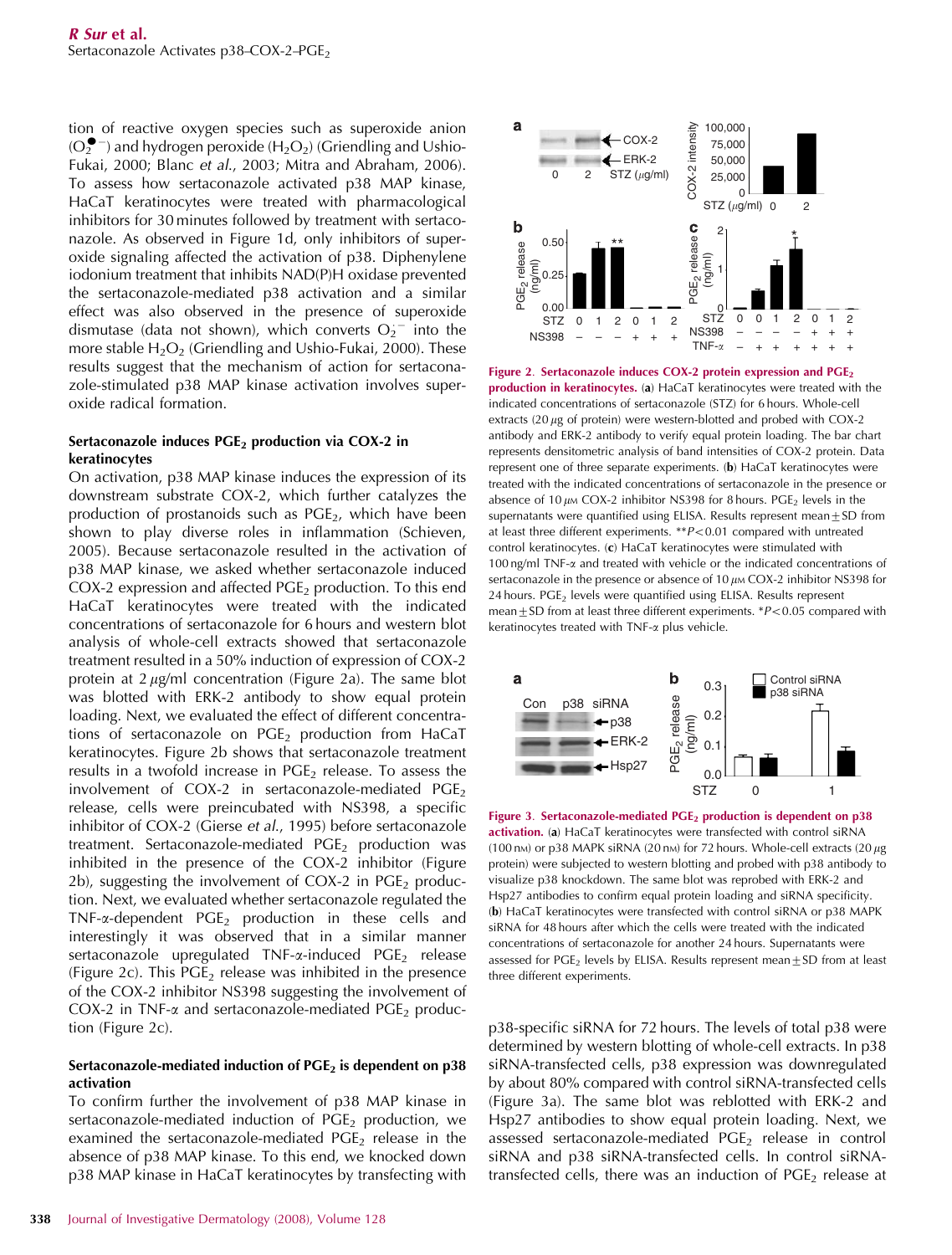tion of reactive oxygen species such as superoxide anion  $(O_2^{\bullet -})$  and hydrogen peroxide  $(H_2O_2)$  (Griendling and Ushio-Fukai, 2000; Blanc *et al*., 2003; Mitra and Abraham, 2006). To assess how sertaconazole activated p38 MAP kinase, HaCaT keratinocytes were treated with pharmacological inhibitors for 30 minutes followed by treatment with sertaconazole. As observed in Figure 1d, only inhibitors of superoxide signaling affected the activation of p38. Diphenylene iodonium treatment that inhibits NAD(P)H oxidase prevented the sertaconazole-mediated p38 activation and a similar effect was also observed in the presence of superoxide dismutase (data not shown), which converts  $O_2$ <sup>-</sup> into the more stable  $H_2O_2$  (Griendling and Ushio-Fukai, 2000). These results suggest that the mechanism of action for sertaconazole-stimulated p38 MAP kinase activation involves superoxide radical formation.

## Sertaconazole induces  $PGE<sub>2</sub>$  production via COX-2 in keratinocytes

On activation, p38 MAP kinase induces the expression of its downstream substrate COX-2, which further catalyzes the production of prostanoids such as  $PGE_2$ , which have been shown to play diverse roles in inflammation (Schieven, 2005). Because sertaconazole resulted in the activation of p38 MAP kinase, we asked whether sertaconazole induced COX-2 expression and affected  $PGE_2$  production. To this end HaCaT keratinocytes were treated with the indicated concentrations of sertaconazole for 6 hours and western blot analysis of whole-cell extracts showed that sertaconazole treatment resulted in a 50% induction of expression of COX-2 protein at  $2 \mu g/ml$  concentration (Figure 2a). The same blot was blotted with ERK-2 antibody to show equal protein loading. Next, we evaluated the effect of different concentrations of sertaconazole on  $PGE_2$  production from HaCaT keratinocytes. Figure 2b shows that sertaconazole treatment results in a twofold increase in  $PGE_2$  release. To assess the involvement of  $COX-2$  in sertaconazole-mediated  $PGE<sub>2</sub>$ release, cells were preincubated with NS398, a specific inhibitor of COX-2 (Gierse *et al*., 1995) before sertaconazole treatment. Sertaconazole-mediated  $PGE_2$  production was inhibited in the presence of the COX-2 inhibitor (Figure 2b), suggesting the involvement of COX-2 in  $PGE_2$  production. Next, we evaluated whether sertaconazole regulated the TNF- $\alpha$ -dependent PGE<sub>2</sub> production in these cells and interestingly it was observed that in a similar manner sertaconazole upregulated  $TNF-\alpha$ -induced PGE<sub>2</sub> release (Figure 2c). This  $PGE_2$  release was inhibited in the presence of the COX-2 inhibitor NS398 suggesting the involvement of COX-2 in TNF- $\alpha$  and sertaconazole-mediated PGE<sub>2</sub> production (Figure 2c).

#### Sertaconazole-mediated induction of  $PGE_2$  is dependent on p38 activation

To confirm further the involvement of p38 MAP kinase in sertaconazole-mediated induction of  $PGE<sub>2</sub>$  production, we examined the sertaconazole-mediated  $PGE<sub>2</sub>$  release in the absence of p38 MAP kinase. To this end, we knocked down p38 MAP kinase in HaCaT keratinocytes by transfecting with



Figure 2. Sertaconazole induces COX-2 protein expression and PGE<sub>2</sub> production in keratinocytes. (a) HaCaT keratinocytes were treated with the indicated concentrations of sertaconazole (STZ) for 6 hours. Whole-cell extracts  $(20 \mu g)$  of protein) were western-blotted and probed with COX-2 antibody and ERK-2 antibody to verify equal protein loading. The bar chart represents densitometric analysis of band intensities of COX-2 protein. Data represent one of three separate experiments. (b) HaCaT keratinocytes were treated with the indicated concentrations of sertaconazole in the presence or absence of 10  $\mu$ m COX-2 inhibitor NS398 for 8 hours. PGE<sub>2</sub> levels in the supernatants were quantified using ELISA. Results represent mean $\pm$ SD from at least three different experiments. \*\**P*<0.01 compared with untreated control keratinocytes. (c) HaCaT keratinocytes were stimulated with 100 ng/ml TNF-a and treated with vehicle or the indicated concentrations of sertaconazole in the presence or absence of 10  $\mu$ m COX-2 inhibitor NS398 for 24 hours. PGE<sub>2</sub> levels were quantified using ELISA. Results represent mean  $\pm$  SD from at least three different experiments. \**P*<0.05 compared with keratinocytes treated with TNF-a plus vehicle.



Figure 3. Sertaconazole-mediated PGE<sub>2</sub> production is dependent on p38 activation. (a) HaCaT keratinocytes were transfected with control siRNA (100 nm) or p38 MAPK siRNA (20 nm) for 72 hours. Whole-cell extracts (20  $\mu$ g protein) were subjected to western blotting and probed with p38 antibody to visualize p38 knockdown. The same blot was reprobed with ERK-2 and Hsp27 antibodies to confirm equal protein loading and siRNA specificity. (b) HaCaT keratinocytes were transfected with control siRNA or p38 MAPK siRNA for 48 hours after which the cells were treated with the indicated concentrations of sertaconazole for another 24 hours. Supernatants were assessed for PGE<sub>2</sub> levels by ELISA. Results represent mean $\pm$ SD from at least three different experiments.

p38-specific siRNA for 72 hours. The levels of total p38 were determined by western blotting of whole-cell extracts. In p38 siRNA-transfected cells, p38 expression was downregulated by about 80% compared with control siRNA-transfected cells (Figure 3a). The same blot was reblotted with ERK-2 and Hsp27 antibodies to show equal protein loading. Next, we assessed sertaconazole-mediated  $PGE<sub>2</sub>$  release in control siRNA and p38 siRNA-transfected cells. In control siRNAtransfected cells, there was an induction of  $PGE<sub>2</sub>$  release at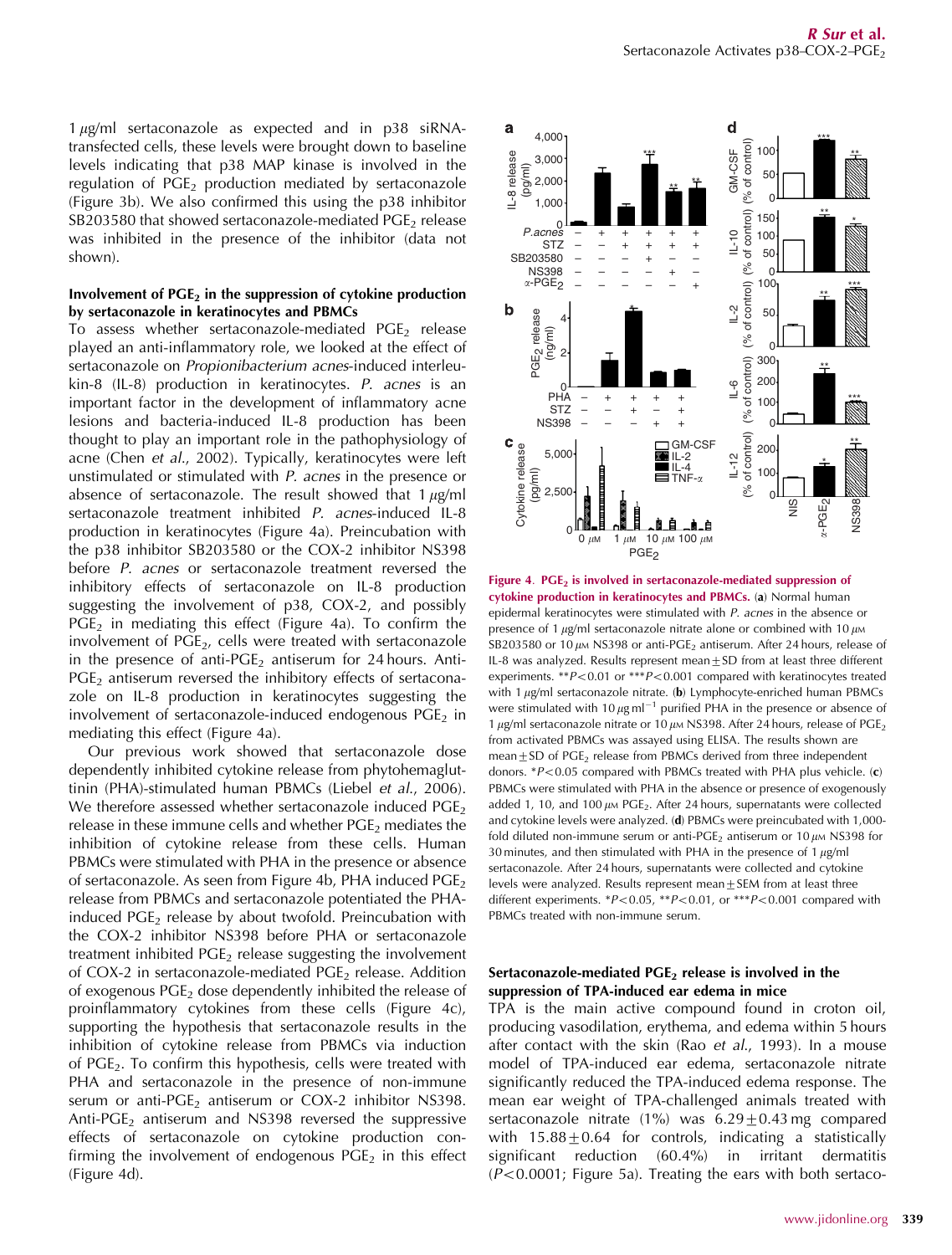$1 \mu$ g/ml sertaconazole as expected and in p38 siRNAtransfected cells, these levels were brought down to baseline levels indicating that p38 MAP kinase is involved in the regulation of  $PGE_2$  production mediated by sertaconazole (Figure 3b). We also confirmed this using the p38 inhibitor SB203580 that showed sertaconazole-mediated  $PGE<sub>2</sub>$  release was inhibited in the presence of the inhibitor (data not shown).

#### Involvement of  $PGE<sub>2</sub>$  in the suppression of cytokine production by sertaconazole in keratinocytes and PBMCs

To assess whether sertaconazole-mediated  $PGE<sub>2</sub>$  release played an anti-inflammatory role, we looked at the effect of sertaconazole on *Propionibacterium acnes*-induced interleukin-8 (IL-8) production in keratinocytes. *P*. *acnes* is an important factor in the development of inflammatory acne lesions and bacteria-induced IL-8 production has been thought to play an important role in the pathophysiology of acne (Chen *et al*., 2002). Typically, keratinocytes were left unstimulated or stimulated with *P. acnes* in the presence or absence of sertaconazole. The result showed that  $1 \mu$ g/ml sertaconazole treatment inhibited *P. acnes*-induced IL-8 production in keratinocytes (Figure 4a). Preincubation with the p38 inhibitor SB203580 or the COX-2 inhibitor NS398 before *P. acnes* or sertaconazole treatment reversed the inhibitory effects of sertaconazole on IL-8 production suggesting the involvement of p38, COX-2, and possibly  $PGE_2$  in mediating this effect (Figure 4a). To confirm the involvement of PGE<sub>2</sub>, cells were treated with sertaconazole in the presence of anti-PGE<sub>2</sub> antiserum for 24 hours. Anti- $PGE<sub>2</sub>$  antiserum reversed the inhibitory effects of sertaconazole on IL-8 production in keratinocytes suggesting the involvement of sertaconazole-induced endogenous  $PGE<sub>2</sub>$  in mediating this effect (Figure 4a).

Our previous work showed that sertaconazole dose dependently inhibited cytokine release from phytohemagluttinin (PHA)-stimulated human PBMCs (Liebel *et al*., 2006). We therefore assessed whether sertaconazole induced  $PGE<sub>2</sub>$ release in these immune cells and whether  $PGE<sub>2</sub>$  mediates the inhibition of cytokine release from these cells. Human PBMCs were stimulated with PHA in the presence or absence of sertaconazole. As seen from Figure 4b, PHA induced PGE<sub>2</sub> release from PBMCs and sertaconazole potentiated the PHAinduced  $PGE_2$  release by about twofold. Preincubation with the COX-2 inhibitor NS398 before PHA or sertaconazole treatment inhibited  $PGE_2$  release suggesting the involvement of COX-2 in sertaconazole-mediated PGE<sub>2</sub> release. Addition of exogenous PGE<sub>2</sub> dose dependently inhibited the release of proinflammatory cytokines from these cells (Figure 4c), supporting the hypothesis that sertaconazole results in the inhibition of cytokine release from PBMCs via induction of PGE2. To confirm this hypothesis, cells were treated with PHA and sertaconazole in the presence of non-immune serum or anti-PGE<sub>2</sub> antiserum or COX-2 inhibitor NS398. Anti-PGE<sub>2</sub> antiserum and NS398 reversed the suppressive effects of sertaconazole on cytokine production confirming the involvement of endogenous  $PGE_2$  in this effect (Figure 4d).



Figure 4.  $PGE<sub>2</sub>$  is involved in sertaconazole-mediated suppression of cytokine production in keratinocytes and PBMCs. (a) Normal human epidermal keratinocytes were stimulated with *P*. *acnes* in the absence or presence of 1  $\mu$ g/ml sertaconazole nitrate alone or combined with 10  $\mu$ M SB203580 or 10  $\mu$ m NS398 or anti-PGE<sub>2</sub> antiserum. After 24 hours, release of IL-8 was analyzed. Results represent mean $\pm$ SD from at least three different experiments. \*\**P*<0.01 or \*\*\**P*<0.001 compared with keratinocytes treated with 1  $\mu$ g/ml sertaconazole nitrate. (b) Lymphocyte-enriched human PBMCs were stimulated with 10  $\mu$ g ml<sup>-1</sup> purified PHA in the presence or absence of 1  $\mu$ g/ml sertaconazole nitrate or 10  $\mu$ m NS398. After 24 hours, release of PGE<sub>2</sub> from activated PBMCs was assayed using ELISA. The results shown are mean $\pm$ SD of PGE<sub>2</sub> release from PBMCs derived from three independent donors. \**P*<0.05 compared with PBMCs treated with PHA plus vehicle. (c) PBMCs were stimulated with PHA in the absence or presence of exogenously added 1, 10, and 100  $\mu$ M PGE<sub>2</sub>. After 24 hours, supernatants were collected and cytokine levels were analyzed. (d) PBMCs were preincubated with 1,000 fold diluted non-immune serum or anti-PGE<sub>2</sub> antiserum or 10  $\mu$ M NS398 for 30 minutes, and then stimulated with PHA in the presence of  $1 \mu g/ml$ sertaconazole. After 24 hours, supernatants were collected and cytokine levels were analyzed. Results represent mean $\pm$ SEM from at least three different experiments.  $*P<0.05$ ,  $**P<0.01$ , or  $**P<0.001$  compared with PBMCs treated with non-immune serum.

## Sertaconazole-mediated  $PGE_2$  release is involved in the suppression of TPA-induced ear edema in mice

TPA is the main active compound found in croton oil, producing vasodilation, erythema, and edema within 5 hours after contact with the skin (Rao *et al*., 1993). In a mouse model of TPA-induced ear edema, sertaconazole nitrate significantly reduced the TPA-induced edema response. The mean ear weight of TPA-challenged animals treated with sertaconazole nitrate  $(1\%)$  was  $6.29\pm0.43$  mg compared with  $15.88 \pm 0.64$  for controls, indicating a statistically significant reduction (60.4%) in irritant dermatitis  $(P<0.0001$ ; Figure 5a). Treating the ears with both sertaco-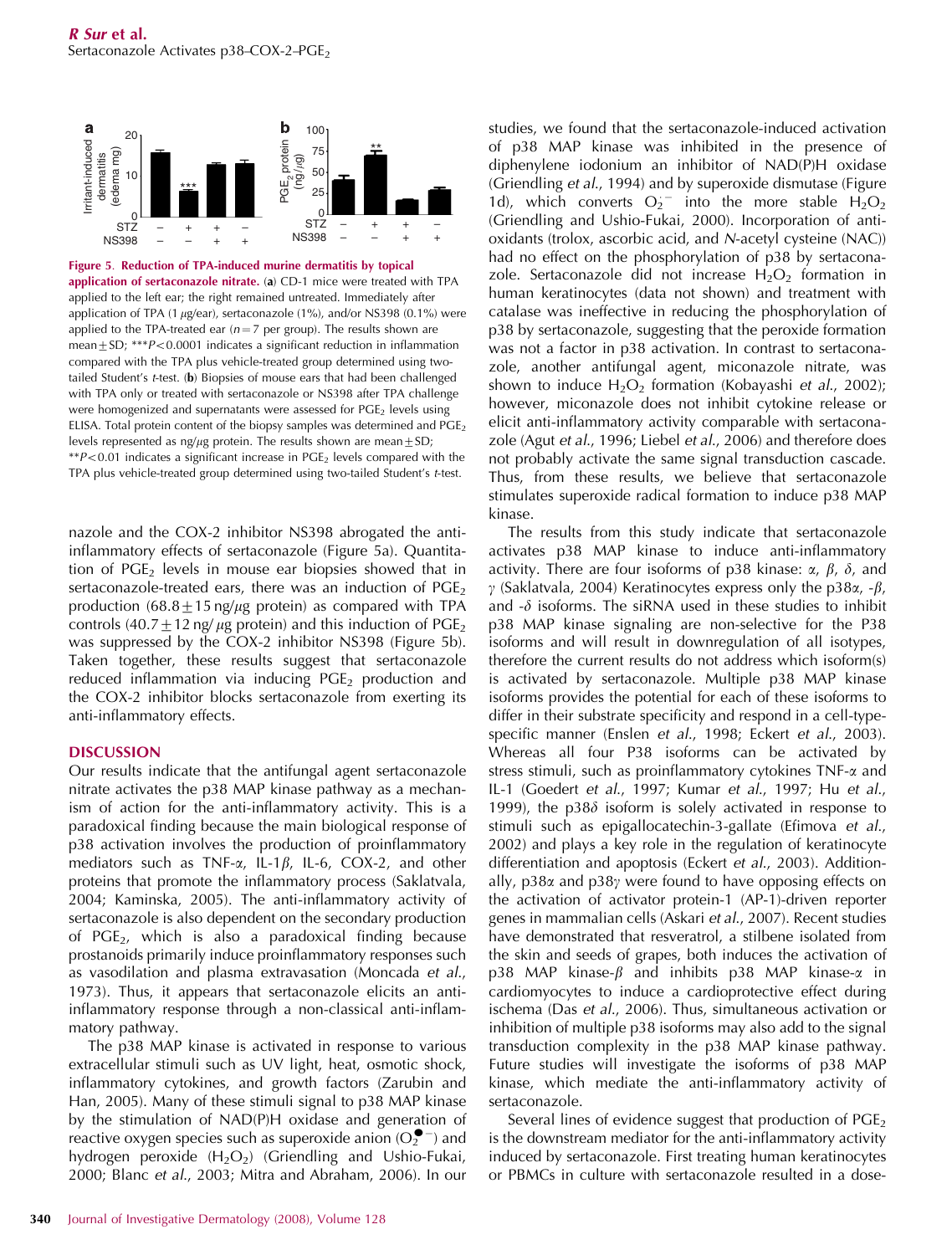

Figure 5. Reduction of TPA-induced murine dermatitis by topical application of sertaconazole nitrate. (a) CD-1 mice were treated with TPA applied to the left ear; the right remained untreated. Immediately after application of TPA (1  $\mu$ g/ear), sertaconazole (1%), and/or NS398 (0.1%) were applied to the TPA-treated ear  $(n=7$  per group). The results shown are mean $\pm$ SD; \*\*\* $P$ <0.0001 indicates a significant reduction in inflammation compared with the TPA plus vehicle-treated group determined using twotailed Student's *t*-test. (b) Biopsies of mouse ears that had been challenged with TPA only or treated with sertaconazole or NS398 after TPA challenge were homogenized and supernatants were assessed for  $PGE<sub>2</sub>$  levels using ELISA. Total protein content of the biopsy samples was determined and  $PGE_2$ levels represented as ng/ $\mu$ g protein. The results shown are mean $\pm$ SD;  $*P<0.01$  indicates a significant increase in PGE<sub>2</sub> levels compared with the TPA plus vehicle-treated group determined using two-tailed Student's *t*-test.

nazole and the COX-2 inhibitor NS398 abrogated the antiinflammatory effects of sertaconazole (Figure 5a). Quantitation of  $PGE_2$  levels in mouse ear biopsies showed that in sertaconazole-treated ears, there was an induction of  $PGE_2$ production  $(68.8 \pm 15 \text{ ng}/\mu\text{g}$  protein) as compared with TPA controls (40.7  $\pm$  12 ng/  $\mu$ g protein) and this induction of PGE<sub>2</sub> was suppressed by the COX-2 inhibitor NS398 (Figure 5b). Taken together, these results suggest that sertaconazole reduced inflammation via inducing  $PGE<sub>2</sub>$  production and the COX-2 inhibitor blocks sertaconazole from exerting its anti-inflammatory effects.

#### DISCUSSION

Our results indicate that the antifungal agent sertaconazole nitrate activates the p38 MAP kinase pathway as a mechanism of action for the anti-inflammatory activity. This is a paradoxical finding because the main biological response of p38 activation involves the production of proinflammatory mediators such as TNF- $\alpha$ , IL-1 $\beta$ , IL-6, COX-2, and other proteins that promote the inflammatory process (Saklatvala, 2004; Kaminska, 2005). The anti-inflammatory activity of sertaconazole is also dependent on the secondary production of  $PGE_2$ , which is also a paradoxical finding because prostanoids primarily induce proinflammatory responses such as vasodilation and plasma extravasation (Moncada *et al*., 1973). Thus, it appears that sertaconazole elicits an antiinflammatory response through a non-classical anti-inflammatory pathway.

The p38 MAP kinase is activated in response to various extracellular stimuli such as UV light, heat, osmotic shock, inflammatory cytokines, and growth factors (Zarubin and Han, 2005). Many of these stimuli signal to p38 MAP kinase by the stimulation of NAD(P)H oxidase and generation of reactive oxygen species such as superoxide anion  $(O_2^{\bullet -})$  and hydrogen peroxide  $(H_2O_2)$  (Griendling and Ushio-Fukai, 2000; Blanc *et al*., 2003; Mitra and Abraham, 2006). In our

studies, we found that the sertaconazole-induced activation of p38 MAP kinase was inhibited in the presence of diphenylene iodonium an inhibitor of NAD(P)H oxidase (Griendling *et al*., 1994) and by superoxide dismutase (Figure 1d), which converts  $O_2$ <sup>-</sup> into the more stable  $H_2O_2$ (Griendling and Ushio-Fukai, 2000). Incorporation of antioxidants (trolox, ascorbic acid, and *N*-acetyl cysteine (NAC)) had no effect on the phosphorylation of p38 by sertaconazole. Sertaconazole did not increase  $H_2O_2$  formation in human keratinocytes (data not shown) and treatment with catalase was ineffective in reducing the phosphorylation of p38 by sertaconazole, suggesting that the peroxide formation was not a factor in p38 activation. In contrast to sertaconazole, another antifungal agent, miconazole nitrate, was shown to induce H<sub>2</sub>O<sub>2</sub> formation (Kobayashi *et al.*, 2002); however, miconazole does not inhibit cytokine release or elicit anti-inflammatory activity comparable with sertaconazole (Agut *et al*., 1996; Liebel *et al*., 2006) and therefore does not probably activate the same signal transduction cascade. Thus, from these results, we believe that sertaconazole stimulates superoxide radical formation to induce p38 MAP kinase.

The results from this study indicate that sertaconazole activates p38 MAP kinase to induce anti-inflammatory activity. There are four isoforms of p38 kinase:  $\alpha$ ,  $\beta$ ,  $\delta$ , and  $\gamma$  (Saklatvala, 2004) Keratinocytes express only the p38 $\alpha$ , - $\beta$ , and  $-\delta$  isoforms. The siRNA used in these studies to inhibit p38 MAP kinase signaling are non-selective for the P38 isoforms and will result in downregulation of all isotypes, therefore the current results do not address which isoform(s) is activated by sertaconazole. Multiple p38 MAP kinase isoforms provides the potential for each of these isoforms to differ in their substrate specificity and respond in a cell-typespecific manner (Enslen *et al*., 1998; Eckert *et al*., 2003). Whereas all four P38 isoforms can be activated by stress stimuli, such as proinflammatory cytokines TNF-a and IL-1 (Goedert *et al*., 1997; Kumar *et al*., 1997; Hu *et al*., 1999), the  $p38\delta$  isoform is solely activated in response to stimuli such as epigallocatechin-3-gallate (Efimova *et al*., 2002) and plays a key role in the regulation of keratinocyte differentiation and apoptosis (Eckert *et al*., 2003). Additionally,  $p38\alpha$  and  $p38\gamma$  were found to have opposing effects on the activation of activator protein-1 (AP-1)-driven reporter genes in mammalian cells (Askari *et al*., 2007). Recent studies have demonstrated that resveratrol, a stilbene isolated from the skin and seeds of grapes, both induces the activation of p38 MAP kinase- $\beta$  and inhibits p38 MAP kinase- $\alpha$  in cardiomyocytes to induce a cardioprotective effect during ischema (Das *et al*., 2006). Thus, simultaneous activation or inhibition of multiple p38 isoforms may also add to the signal transduction complexity in the p38 MAP kinase pathway. Future studies will investigate the isoforms of p38 MAP kinase, which mediate the anti-inflammatory activity of sertaconazole.

Several lines of evidence suggest that production of  $PGE<sub>2</sub>$ is the downstream mediator for the anti-inflammatory activity induced by sertaconazole. First treating human keratinocytes or PBMCs in culture with sertaconazole resulted in a dose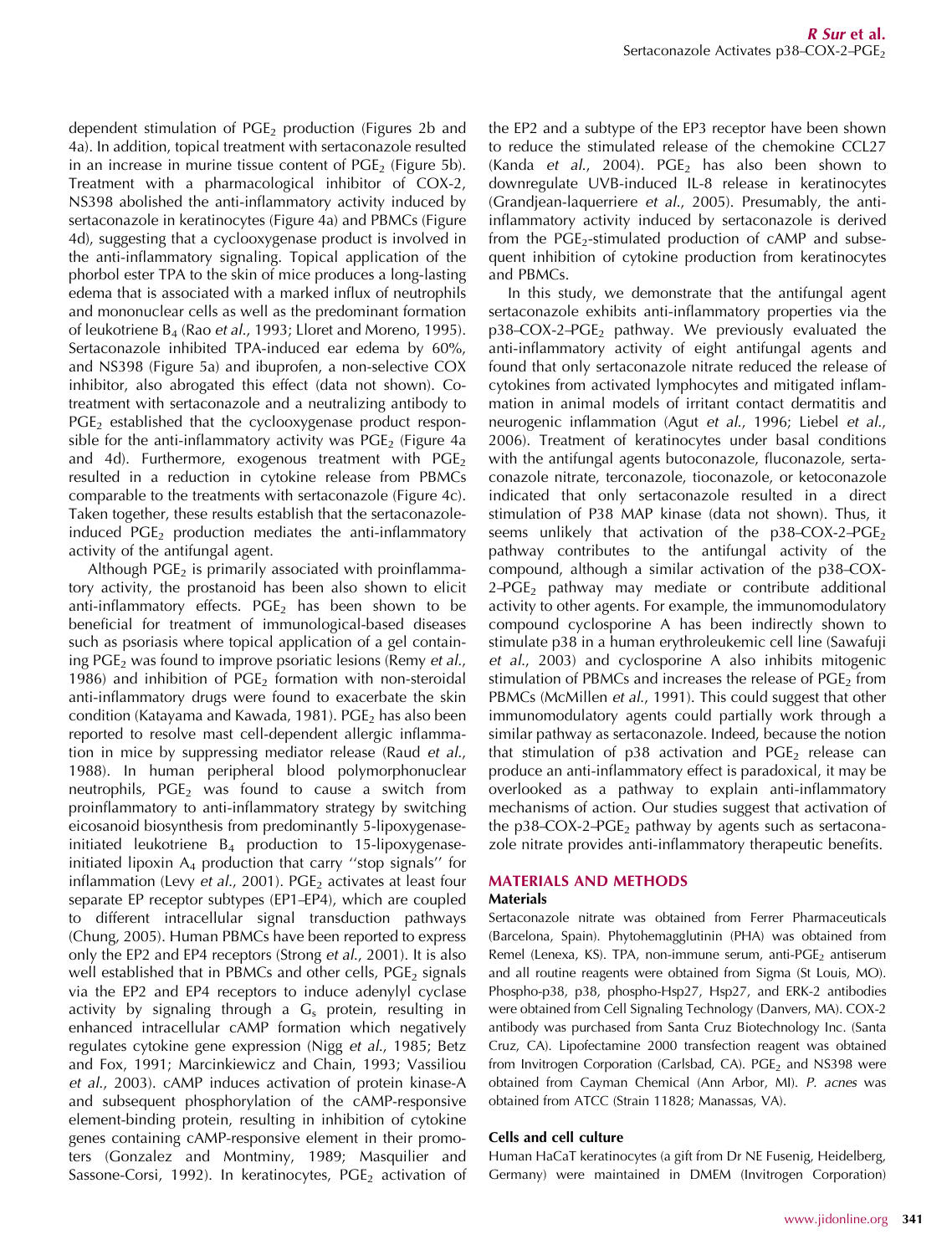dependent stimulation of  $PGE_2$  production (Figures 2b and 4a). In addition, topical treatment with sertaconazole resulted in an increase in murine tissue content of  $PGE_2$  (Figure 5b). Treatment with a pharmacological inhibitor of COX-2, NS398 abolished the anti-inflammatory activity induced by sertaconazole in keratinocytes (Figure 4a) and PBMCs (Figure 4d), suggesting that a cyclooxygenase product is involved in the anti-inflammatory signaling. Topical application of the phorbol ester TPA to the skin of mice produces a long-lasting edema that is associated with a marked influx of neutrophils and mononuclear cells as well as the predominant formation of leukotriene B<sup>4</sup> (Rao *et al*., 1993; Lloret and Moreno, 1995). Sertaconazole inhibited TPA-induced ear edema by 60%, and NS398 (Figure 5a) and ibuprofen, a non-selective COX inhibitor, also abrogated this effect (data not shown). Cotreatment with sertaconazole and a neutralizing antibody to  $PGE<sub>2</sub>$  established that the cyclooxygenase product responsible for the anti-inflammatory activity was  $PGE_2$  (Figure 4a and 4d). Furthermore, exogenous treatment with  $PGE_2$ resulted in a reduction in cytokine release from PBMCs comparable to the treatments with sertaconazole (Figure 4c). Taken together, these results establish that the sertaconazoleinduced  $PGE_2$  production mediates the anti-inflammatory activity of the antifungal agent.

Although  $PGE_2$  is primarily associated with proinflammatory activity, the prostanoid has been also shown to elicit anti-inflammatory effects. PGE<sub>2</sub> has been shown to be beneficial for treatment of immunological-based diseases such as psoriasis where topical application of a gel containing PGE<sup>2</sup> was found to improve psoriatic lesions (Remy *et al*., 1986) and inhibition of  $PGE<sub>2</sub>$  formation with non-steroidal anti-inflammatory drugs were found to exacerbate the skin condition (Katayama and Kawada, 1981). PGE<sub>2</sub> has also been reported to resolve mast cell-dependent allergic inflammation in mice by suppressing mediator release (Raud *et al*., 1988). In human peripheral blood polymorphonuclear neutrophils,  $PGE<sub>2</sub>$  was found to cause a switch from proinflammatory to anti-inflammatory strategy by switching eicosanoid biosynthesis from predominantly 5-lipoxygenaseinitiated leukotriene  $B_4$  production to 15-lipoxygenaseinitiated lipoxin  $A_4$  production that carry "stop signals" for inflammation (Levy *et al.*, 2001). PGE<sub>2</sub> activates at least four separate EP receptor subtypes (EP1–EP4), which are coupled to different intracellular signal transduction pathways (Chung, 2005). Human PBMCs have been reported to express only the EP2 and EP4 receptors (Strong *et al*., 2001). It is also well established that in PBMCs and other cells,  $PGE_2$  signals via the EP2 and EP4 receptors to induce adenylyl cyclase activity by signaling through a  $G_s$  protein, resulting in enhanced intracellular cAMP formation which negatively regulates cytokine gene expression (Nigg *et al*., 1985; Betz and Fox, 1991; Marcinkiewicz and Chain, 1993; Vassiliou *et al*., 2003). cAMP induces activation of protein kinase-A and subsequent phosphorylation of the cAMP-responsive element-binding protein, resulting in inhibition of cytokine genes containing cAMP-responsive element in their promoters (Gonzalez and Montminy, 1989; Masquilier and Sassone-Corsi, 1992). In keratinocytes,  $PGE<sub>2</sub>$  activation of

the EP2 and a subtype of the EP3 receptor have been shown to reduce the stimulated release of the chemokine CCL27 (Kanda *et al.*, 2004). PGE<sub>2</sub> has also been shown to downregulate UVB-induced IL-8 release in keratinocytes (Grandjean-laquerriere *et al*., 2005). Presumably, the antiinflammatory activity induced by sertaconazole is derived from the  $PGE_2$ -stimulated production of cAMP and subsequent inhibition of cytokine production from keratinocytes and PBMCs.

In this study, we demonstrate that the antifungal agent sertaconazole exhibits anti-inflammatory properties via the  $p38-COX-2-PGE<sub>2</sub>$  pathway. We previously evaluated the anti-inflammatory activity of eight antifungal agents and found that only sertaconazole nitrate reduced the release of cytokines from activated lymphocytes and mitigated inflammation in animal models of irritant contact dermatitis and neurogenic inflammation (Agut *et al*., 1996; Liebel *et al*., 2006). Treatment of keratinocytes under basal conditions with the antifungal agents butoconazole, fluconazole, sertaconazole nitrate, terconazole, tioconazole, or ketoconazole indicated that only sertaconazole resulted in a direct stimulation of P38 MAP kinase (data not shown). Thus, it seems unlikely that activation of the  $p38-COX-2-PGE_2$ pathway contributes to the antifungal activity of the compound, although a similar activation of the p38–COX- $2-\text{PGE}_2$  pathway may mediate or contribute additional activity to other agents. For example, the immunomodulatory compound cyclosporine A has been indirectly shown to stimulate p38 in a human erythroleukemic cell line (Sawafuji *et al*., 2003) and cyclosporine A also inhibits mitogenic stimulation of PBMCs and increases the release of  $PGE<sub>2</sub>$  from PBMCs (McMillen *et al*., 1991). This could suggest that other immunomodulatory agents could partially work through a similar pathway as sertaconazole. Indeed, because the notion that stimulation of  $p38$  activation and  $PGE<sub>2</sub>$  release can produce an anti-inflammatory effect is paradoxical, it may be overlooked as a pathway to explain anti-inflammatory mechanisms of action. Our studies suggest that activation of the  $p38$ –COX-2–PGE<sub>2</sub> pathway by agents such as sertaconazole nitrate provides anti-inflammatory therapeutic benefits.

# MATERIALS AND METHODS

# **Materials**

Sertaconazole nitrate was obtained from Ferrer Pharmaceuticals (Barcelona, Spain). Phytohemagglutinin (PHA) was obtained from Remel (Lenexa, KS). TPA, non-immune serum, anti-PGE<sub>2</sub> antiserum and all routine reagents were obtained from Sigma (St Louis, MO). Phospho-p38, p38, phospho-Hsp27, Hsp27, and ERK-2 antibodies were obtained from Cell Signaling Technology (Danvers, MA). COX-2 antibody was purchased from Santa Cruz Biotechnology Inc. (Santa Cruz, CA). Lipofectamine 2000 transfection reagent was obtained from Invitrogen Corporation (Carlsbad, CA).  $PGE<sub>2</sub>$  and NS398 were obtained from Cayman Chemical (Ann Arbor, MI). *P. acnes* was obtained from ATCC (Strain 11828; Manassas, VA).

## Cells and cell culture

Human HaCaT keratinocytes (a gift from Dr NE Fusenig, Heidelberg, Germany) were maintained in DMEM (Invitrogen Corporation)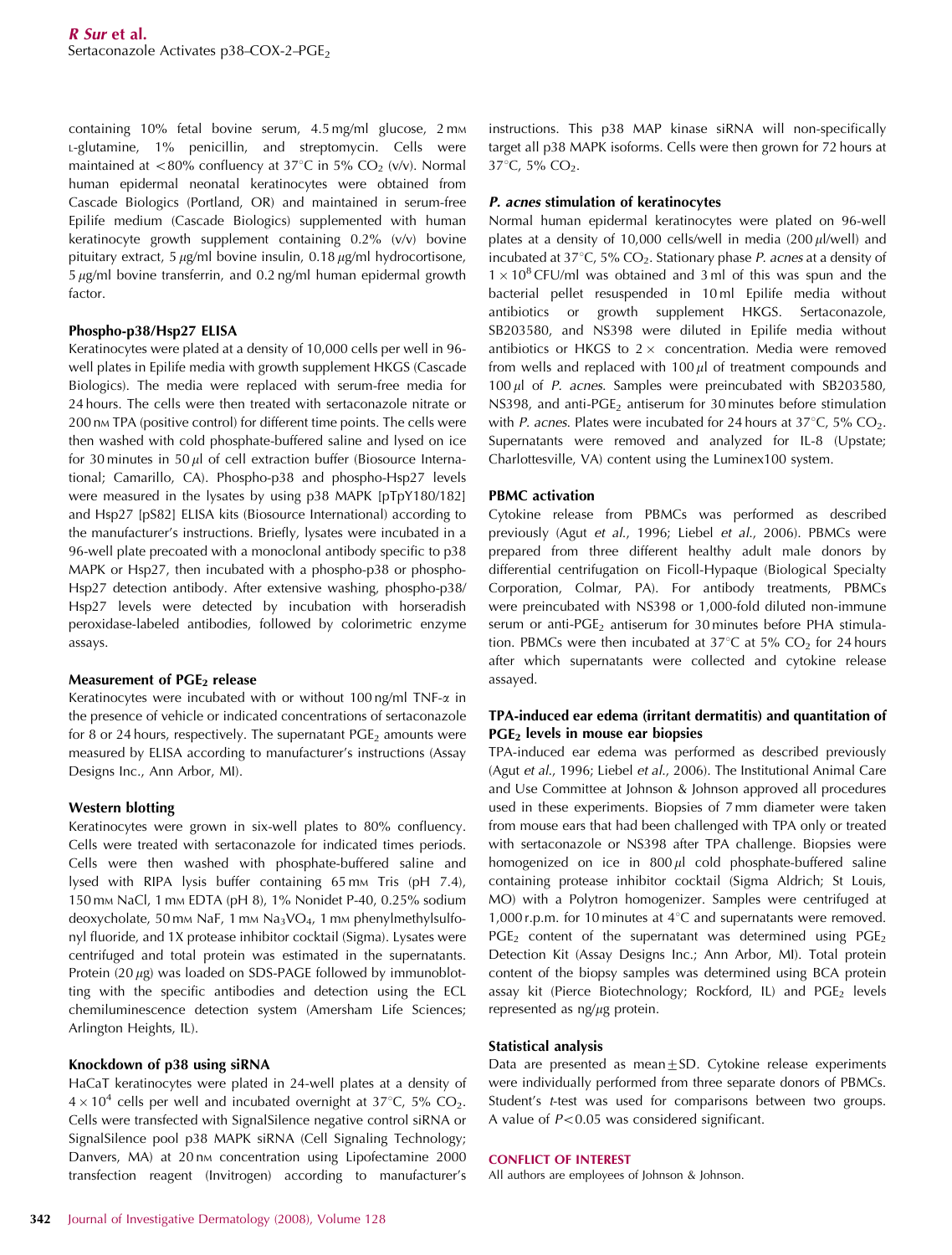containing 10% fetal bovine serum, 4.5 mg/ml glucose, 2 mm <sup>L</sup>-glutamine, 1% penicillin, and streptomycin. Cells were maintained at <80% confluency at 37°C in 5% CO<sub>2</sub> (v/v). Normal human epidermal neonatal keratinocytes were obtained from Cascade Biologics (Portland, OR) and maintained in serum-free Epilife medium (Cascade Biologics) supplemented with human keratinocyte growth supplement containing 0.2% (v/v) bovine pituitary extract, 5  $\mu$ g/ml bovine insulin, 0.18  $\mu$ g/ml hydrocortisone,  $5 \mu$ g/ml bovine transferrin, and 0.2 ng/ml human epidermal growth factor.

#### Phospho-p38/Hsp27 ELISA

Keratinocytes were plated at a density of 10,000 cells per well in 96 well plates in Epilife media with growth supplement HKGS (Cascade Biologics). The media were replaced with serum-free media for 24 hours. The cells were then treated with sertaconazole nitrate or 200 nm TPA (positive control) for different time points. The cells were then washed with cold phosphate-buffered saline and lysed on ice for 30 minutes in 50  $\mu$ l of cell extraction buffer (Biosource International; Camarillo, CA). Phospho-p38 and phospho-Hsp27 levels were measured in the lysates by using p38 MAPK [pTpY180/182] and Hsp27 [pS82] ELISA kits (Biosource International) according to the manufacturer's instructions. Briefly, lysates were incubated in a 96-well plate precoated with a monoclonal antibody specific to p38 MAPK or Hsp27, then incubated with a phospho-p38 or phospho-Hsp27 detection antibody. After extensive washing, phospho-p38/ Hsp27 levels were detected by incubation with horseradish peroxidase-labeled antibodies, followed by colorimetric enzyme assays.

#### Measurement of  $PGE<sub>2</sub>$  release

Keratinocytes were incubated with or without 100 ng/ml TNF- $\alpha$  in the presence of vehicle or indicated concentrations of sertaconazole for 8 or 24 hours, respectively. The supernatant  $PGE<sub>2</sub>$  amounts were measured by ELISA according to manufacturer's instructions (Assay Designs Inc., Ann Arbor, MI).

#### Western blotting

Keratinocytes were grown in six-well plates to 80% confluency. Cells were treated with sertaconazole for indicated times periods. Cells were then washed with phosphate-buffered saline and lysed with RIPA lysis buffer containing 65 mm Tris (pH 7.4), 150 mm NaCl, 1 mm EDTA (pH 8), 1% Nonidet P-40, 0.25% sodium deoxycholate, 50 mm NaF, 1 mm Na<sub>3</sub>VO<sub>4</sub>, 1 mm phenylmethylsulfonyl fluoride, and 1X protease inhibitor cocktail (Sigma). Lysates were centrifuged and total protein was estimated in the supernatants. Protein  $(20 \mu g)$  was loaded on SDS-PAGE followed by immunoblotting with the specific antibodies and detection using the ECL chemiluminescence detection system (Amersham Life Sciences; Arlington Heights, IL).

#### Knockdown of p38 using siRNA

HaCaT keratinocytes were plated in 24-well plates at a density of  $4 \times 10^4$  cells per well and incubated overnight at 37°C, 5% CO<sub>2</sub>. Cells were transfected with SignalSilence negative control siRNA or SignalSilence pool p38 MAPK siRNA (Cell Signaling Technology; Danvers, MA) at 20 nm concentration using Lipofectamine 2000 transfection reagent (Invitrogen) according to manufacturer's instructions. This p38 MAP kinase siRNA will non-specifically target all p38 MAPK isoforms. Cells were then grown for 72 hours at 37°C, 5% CO<sub>2</sub>.

#### P. acnes stimulation of keratinocytes

Normal human epidermal keratinocytes were plated on 96-well plates at a density of 10,000 cells/well in media  $(200 \mu$ l/well) and incubated at 37°C, 5% CO<sub>2</sub>. Stationary phase *P. acnes* at a density of  $1 \times 10^8$  CFU/ml was obtained and 3 ml of this was spun and the bacterial pellet resuspended in 10 ml Epilife media without antibiotics or growth supplement HKGS. Sertaconazole, SB203580, and NS398 were diluted in Epilife media without antibiotics or HKGS to  $2 \times$  concentration. Media were removed from wells and replaced with  $100 \mu l$  of treatment compounds and 100 ml of *P. acnes*. Samples were preincubated with SB203580, NS398, and anti-PGE<sub>2</sub> antiserum for 30 minutes before stimulation with *P. acnes*. Plates were incubated for 24 hours at  $37^{\circ}$ C,  $5\%$  CO<sub>2</sub>. Supernatants were removed and analyzed for IL-8 (Upstate; Charlottesville, VA) content using the Luminex100 system.

#### PBMC activation

Cytokine release from PBMCs was performed as described previously (Agut *et al*., 1996; Liebel *et al*., 2006). PBMCs were prepared from three different healthy adult male donors by differential centrifugation on Ficoll-Hypaque (Biological Specialty Corporation, Colmar, PA). For antibody treatments, PBMCs were preincubated with NS398 or 1,000-fold diluted non-immune serum or anti-PGE<sub>2</sub> antiserum for 30 minutes before PHA stimulation. PBMCs were then incubated at  $37^{\circ}$ C at  $5\%$  CO<sub>2</sub> for 24 hours after which supernatants were collected and cytokine release assayed.

## TPA-induced ear edema (irritant dermatitis) and quantitation of  $PGE<sub>2</sub>$  levels in mouse ear biopsies

TPA-induced ear edema was performed as described previously (Agut *et al*., 1996; Liebel *et al*., 2006). The Institutional Animal Care and Use Committee at Johnson & Johnson approved all procedures used in these experiments. Biopsies of 7 mm diameter were taken from mouse ears that had been challenged with TPA only or treated with sertaconazole or NS398 after TPA challenge. Biopsies were homogenized on ice in  $800 \mu l$  cold phosphate-buffered saline containing protease inhibitor cocktail (Sigma Aldrich; St Louis, MO) with a Polytron homogenizer. Samples were centrifuged at 1,000 r.p.m. for 10 minutes at  $4^{\circ}$ C and supernatants were removed. PGE<sub>2</sub> content of the supernatant was determined using PGE<sub>2</sub> Detection Kit (Assay Designs Inc.; Ann Arbor, MI). Total protein content of the biopsy samples was determined using BCA protein assay kit (Pierce Biotechnology; Rockford, IL) and  $PGE_2$  levels represented as  $\frac{ng}{\mu g}$  protein.

#### Statistical analysis

Data are presented as mean $\pm$ SD. Cytokine release experiments were individually performed from three separate donors of PBMCs. Student's *t*-test was used for comparisons between two groups. A value of  $P < 0.05$  was considered significant.

#### CONFLICT OF INTEREST

All authors are employees of Johnson & Johnson.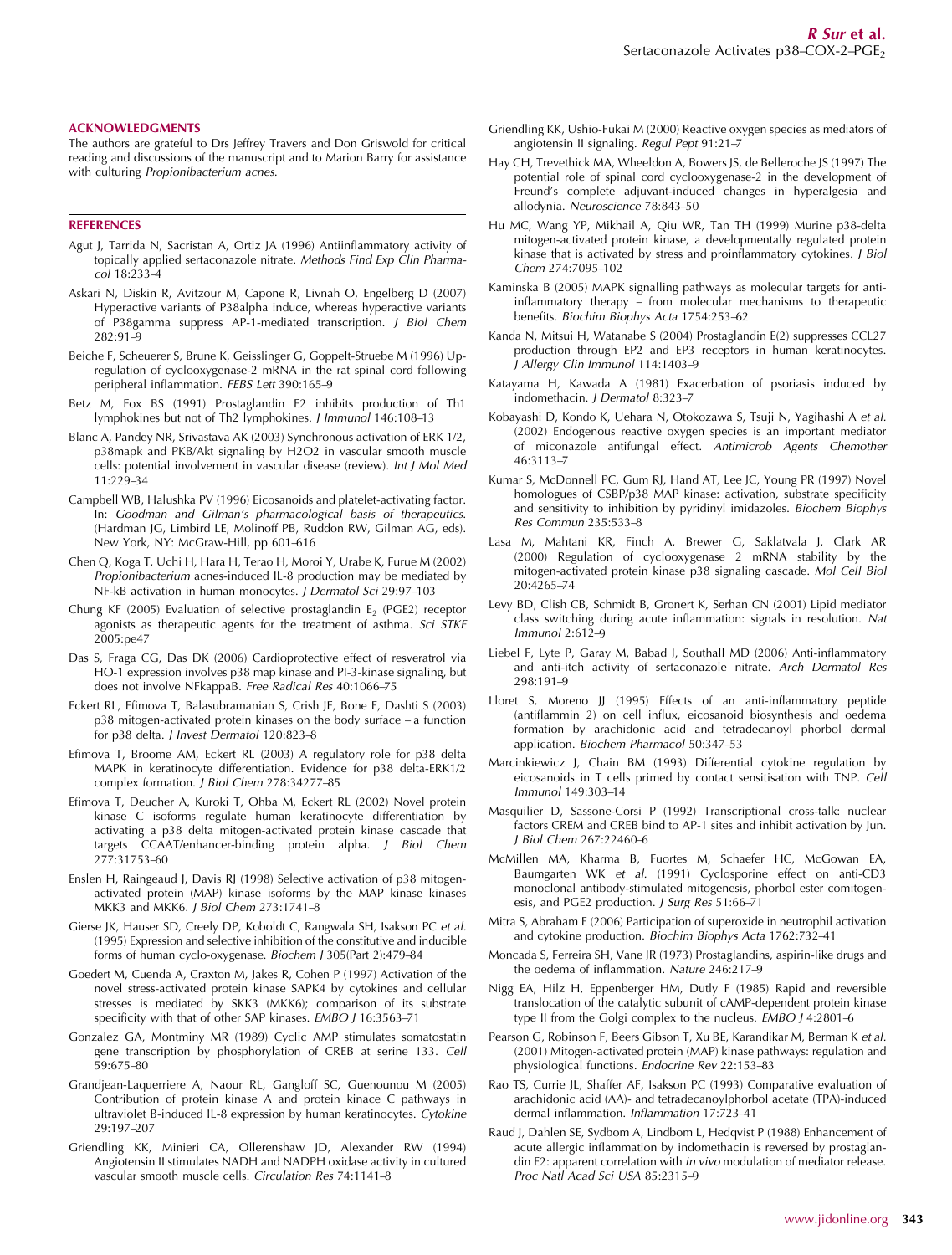#### ACKNOWLEDGMENTS

The authors are grateful to Drs Jeffrey Travers and Don Griswold for critical reading and discussions of the manuscript and to Marion Barry for assistance with culturing *Propionibacterium acnes*.

#### **REFERENCES**

- Agut J, Tarrida N, Sacristan A, Ortiz JA (1996) Antiinflammatory activity of topically applied sertaconazole nitrate. *Methods Find Exp Clin Pharmacol* 18:233–4
- Askari N, Diskin R, Avitzour M, Capone R, Livnah O, Engelberg D (2007) Hyperactive variants of P38alpha induce, whereas hyperactive variants of P38gamma suppress AP-1-mediated transcription. *J Biol Chem* 282:91–9
- Beiche F, Scheuerer S, Brune K, Geisslinger G, Goppelt-Struebe M (1996) Upregulation of cyclooxygenase-2 mRNA in the rat spinal cord following peripheral inflammation. *FEBS Lett* 390:165–9
- Betz M, Fox BS (1991) Prostaglandin E2 inhibits production of Th1 lymphokines but not of Th2 lymphokines. *J Immunol* 146:108–13
- Blanc A, Pandey NR, Srivastava AK (2003) Synchronous activation of ERK 1/2, p38mapk and PKB/Akt signaling by H2O2 in vascular smooth muscle cells: potential involvement in vascular disease (review). *Int J Mol Med* 11:229–34
- Campbell WB, Halushka PV (1996) Eicosanoids and platelet-activating factor. In: *Goodman and Gilman's pharmacological basis of therapeutics*. (Hardman JG, Limbird LE, Molinoff PB, Ruddon RW, Gilman AG, eds). New York, NY: McGraw-Hill, pp 601–616
- Chen Q, Koga T, Uchi H, Hara H, Terao H, Moroi Y, Urabe K, Furue M (2002) *Propionibacterium* acnes-induced IL-8 production may be mediated by NF-kB activation in human monocytes. *J Dermatol Sci* 29:97–103
- Chung KF (2005) Evaluation of selective prostaglandin  $E_2$  (PGE2) receptor agonists as therapeutic agents for the treatment of asthma. *Sci STKE* 2005:pe47
- Das S, Fraga CG, Das DK (2006) Cardioprotective effect of resveratrol via HO-1 expression involves p38 map kinase and PI-3-kinase signaling, but does not involve NFkappaB. *Free Radical Res* 40:1066–75
- Eckert RL, Efimova T, Balasubramanian S, Crish JF, Bone F, Dashti S (2003) p38 mitogen-activated protein kinases on the body surface – a function for p38 delta. *J Invest Dermatol* 120:823–8
- Efimova T, Broome AM, Eckert RL (2003) A regulatory role for p38 delta MAPK in keratinocyte differentiation. Evidence for p38 delta-ERK1/2 complex formation. *J Biol Chem* 278:34277–85
- Efimova T, Deucher A, Kuroki T, Ohba M, Eckert RL (2002) Novel protein kinase C isoforms regulate human keratinocyte differentiation by activating a p38 delta mitogen-activated protein kinase cascade that targets CCAAT/enhancer-binding protein alpha. *J Biol Chem* 277:31753–60
- Enslen H, Raingeaud J, Davis RJ (1998) Selective activation of p38 mitogenactivated protein (MAP) kinase isoforms by the MAP kinase kinases MKK3 and MKK6. *J Biol Chem* 273:1741–8
- Gierse JK, Hauser SD, Creely DP, Koboldt C, Rangwala SH, Isakson PC *et al.* (1995) Expression and selective inhibition of the constitutive and inducible forms of human cyclo-oxygenase. *Biochem J* 305(Part 2):479–84
- Goedert M, Cuenda A, Craxton M, Jakes R, Cohen P (1997) Activation of the novel stress-activated protein kinase SAPK4 by cytokines and cellular stresses is mediated by SKK3 (MKK6); comparison of its substrate specificity with that of other SAP kinases. *EMBO J* 16:3563–71
- Gonzalez GA, Montminy MR (1989) Cyclic AMP stimulates somatostatin gene transcription by phosphorylation of CREB at serine 133. *Cell* 59:675–80
- Grandjean-Laquerriere A, Naour RL, Gangloff SC, Guenounou M (2005) Contribution of protein kinase A and protein kinace C pathways in ultraviolet B-induced IL-8 expression by human keratinocytes. *Cytokine* 29:197–207
- Griendling KK, Minieri CA, Ollerenshaw JD, Alexander RW (1994) Angiotensin II stimulates NADH and NADPH oxidase activity in cultured vascular smooth muscle cells. *Circulation Res* 74:1141–8
- Griendling KK, Ushio-Fukai M (2000) Reactive oxygen species as mediators of angiotensin II signaling. *Regul Pept* 91:21–7
- Hay CH, Trevethick MA, Wheeldon A, Bowers JS, de Belleroche JS (1997) The potential role of spinal cord cyclooxygenase-2 in the development of Freund's complete adjuvant-induced changes in hyperalgesia and allodynia. *Neuroscience* 78:843–50
- Hu MC, Wang YP, Mikhail A, Qiu WR, Tan TH (1999) Murine p38-delta mitogen-activated protein kinase, a developmentally regulated protein kinase that is activated by stress and proinflammatory cytokines. *J Biol Chem* 274:7095–102
- Kaminska B (2005) MAPK signalling pathways as molecular targets for antiinflammatory therapy – from molecular mechanisms to therapeutic benefits. *Biochim Biophys Acta* 1754:253–62
- Kanda N, Mitsui H, Watanabe S (2004) Prostaglandin E(2) suppresses CCL27 production through EP2 and EP3 receptors in human keratinocytes. *J Allergy Clin Immunol* 114:1403–9
- Katayama H, Kawada A (1981) Exacerbation of psoriasis induced by indomethacin. *J Dermatol* 8:323–7
- Kobayashi D, Kondo K, Uehara N, Otokozawa S, Tsuji N, Yagihashi A *et al.* (2002) Endogenous reactive oxygen species is an important mediator of miconazole antifungal effect. *Antimicrob Agents Chemother* 46:3113–7
- Kumar S, McDonnell PC, Gum RJ, Hand AT, Lee JC, Young PR (1997) Novel homologues of CSBP/p38 MAP kinase: activation, substrate specificity and sensitivity to inhibition by pyridinyl imidazoles. *Biochem Biophys Res Commun* 235:533–8
- Lasa M, Mahtani KR, Finch A, Brewer G, Saklatvala J, Clark AR (2000) Regulation of cyclooxygenase 2 mRNA stability by the mitogen-activated protein kinase p38 signaling cascade. *Mol Cell Biol* 20:4265–74
- Levy BD, Clish CB, Schmidt B, Gronert K, Serhan CN (2001) Lipid mediator class switching during acute inflammation: signals in resolution. *Nat Immunol* 2:612–9
- Liebel F, Lyte P, Garay M, Babad J, Southall MD (2006) Anti-inflammatory and anti-itch activity of sertaconazole nitrate. *Arch Dermatol Res* 298:191–9
- Lloret S, Moreno JJ (1995) Effects of an anti-inflammatory peptide (antiflammin 2) on cell influx, eicosanoid biosynthesis and oedema formation by arachidonic acid and tetradecanoyl phorbol dermal application. *Biochem Pharmacol* 50:347–53
- Marcinkiewicz J, Chain BM (1993) Differential cytokine regulation by eicosanoids in T cells primed by contact sensitisation with TNP. *Cell Immunol* 149:303–14
- Masquilier D, Sassone-Corsi P (1992) Transcriptional cross-talk: nuclear factors CREM and CREB bind to AP-1 sites and inhibit activation by Jun. *J Biol Chem* 267:22460–6
- McMillen MA, Kharma B, Fuortes M, Schaefer HC, McGowan EA, Baumgarten WK *et al.* (1991) Cyclosporine effect on anti-CD3 monoclonal antibody-stimulated mitogenesis, phorbol ester comitogenesis, and PGE2 production. *J Surg Res* 51:66–71
- Mitra S, Abraham E (2006) Participation of superoxide in neutrophil activation and cytokine production. *Biochim Biophys Acta* 1762:732–41
- Moncada S, Ferreira SH, Vane JR (1973) Prostaglandins, aspirin-like drugs and the oedema of inflammation. *Nature* 246:217–9
- Nigg EA, Hilz H, Eppenberger HM, Dutly F (1985) Rapid and reversible translocation of the catalytic subunit of cAMP-dependent protein kinase type II from the Golgi complex to the nucleus. *EMBO J* 4:2801–6
- Pearson G, Robinson F, Beers Gibson T, Xu BE, Karandikar M, Berman K *et al.* (2001) Mitogen-activated protein (MAP) kinase pathways: regulation and physiological functions. *Endocrine Rev* 22:153–83
- Rao TS, Currie JL, Shaffer AF, Isakson PC (1993) Comparative evaluation of arachidonic acid (AA)- and tetradecanoylphorbol acetate (TPA)-induced dermal inflammation. *Inflammation* 17:723–41
- Raud J, Dahlen SE, Sydbom A, Lindbom L, Hedqvist P (1988) Enhancement of acute allergic inflammation by indomethacin is reversed by prostaglandin E2: apparent correlation with *in vivo* modulation of mediator release. *Proc Natl Acad Sci USA* 85:2315–9